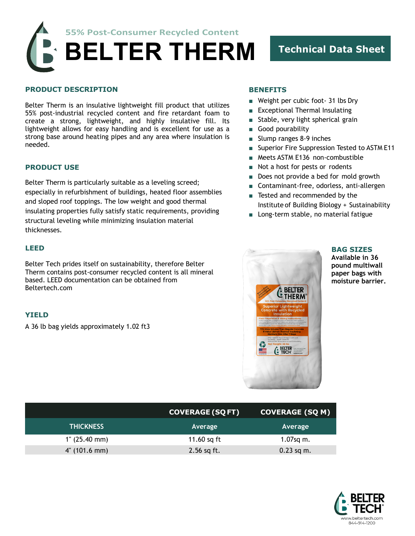**55% Post-Consumer Recycled Content BELTER THERM Technical Data Sheet**

### **PRODUCT DESCRIPTION**

Belter Therm is an insulative lightweight fill product that utilizes 55% post-industrial recycled content and fire retardant foam to create a strong, lightweight, and highly insulative fill. Its lightweight allows for easy handling and is excellent for use as a strong base around heating pipes and any area where insulation is needed.

### **PRODUCT USE**

Belter Therm is particularly suitable as a leveling screed; especially in refurbishment of buildings, heated floor assemblies and sloped roof toppings. The low weight and good thermal insulating properties fully satisfy static requirements, providing structural leveling while minimizing insulation material thicknesses.

### **LEED**

Belter Tech prides itself on sustainability, therefore Belter Therm contains post-consumer recycled content is all mineral based. LEED documentation can be obtained from Beltertech.com

### **YIELD**

A 36 lb bag yields approximately 1.02 ft3

# **BENEFITS**

- Weight per cubic foot- 31 lbs Dry
- Exceptional Thermal Insulating
- Stable, very light spherical grain
- Good pourability
- Slump ranges 8-9 inches
- Superior Fire Suppression Tested to ASTM E11
- Meets ASTM E136 non-combustible
- Not a host for pests or rodents
- Does not provide a bed for mold growth
- Contaminant-free, odorless, anti-allergen
- Tested and recommended by the Institute of Building Biology + Sustainability
- Long-term stable, no material fatigue



**BAG SIZES Available in 36 pound multiwall paper bags with moisture barrier.**

|                        | <b>COVERAGE (SQ FT)</b> | <b>COVERAGE (SQ M)</b> |
|------------------------|-------------------------|------------------------|
| <b>THICKNESS</b>       | Average                 | Average                |
| $1^{\circ}$ (25.40 mm) | 11.60 sq ft             | $1.07$ sq m.           |
| $4^{\circ}$ (101.6 mm) | $2.56$ sq ft.           | $0.23$ sq m.           |